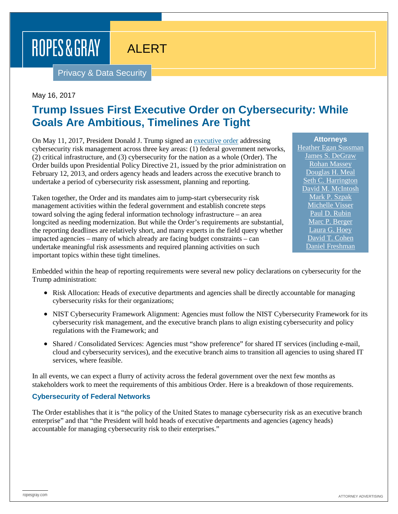ROPES & GRAY

## ALERT

Privacy & Data Security

### May 16, 2017

### **Trump Issues First Executive Order on Cybersecurity: While Goals Are Ambitious, Timelines Are Tight**

On May 11, 2017, President Donald J. Trump signed an [executive order](https://www.whitehouse.gov/the-press-office/2017/05/11/presidential-executive-order-strengthening-cybersecurity-federal) addressing cybersecurity risk management across three key areas: (1) federal government networks, (2) critical infrastructure, and (3) cybersecurity for the nation as a whole (Order). The Order builds upon Presidential Policy Directive 21, issued by the prior administration on February 12, 2013, and orders agency heads and leaders across the executive branch to undertake a period of cybersecurity risk assessment, planning and reporting.

Taken together, the Order and its mandates aim to jump-start cybersecurity risk management activities within the federal government and establish concrete steps toward solving the aging federal information technology infrastructure – an area longcited as needing modernization. But while the Order's requirements are substantial, the reporting deadlines are relatively short, and many experts in the field query whether impacted agencies – many of which already are facing budget constraints – can undertake meaningful risk assessments and required planning activities on such important topics within these tight timelines.

**Attorneys** [Heather Egan Sussman](https://www.ropesgray.com/biographies/s/heather-egan-sussman.aspx) [James S. DeGraw](https://www.ropesgray.com/biographies/d/james-s-degraw.aspx) [Rohan Massey](https://www.ropesgray.com/biographies/m/rohan-massey.aspx) [Douglas H. Meal](https://www.ropesgray.com/biographies/m/douglas-h-meal.aspx) [Seth C. Harrington](https://www.ropesgray.com/biographies/h/seth-c-harrington.aspx) [David M. McIntosh](https://www.ropesgray.com/biographies/m/McIntosh-David.aspx) [Mark P. Szpak](https://www.ropesgray.com/biographies/s/mark-p-szpak.aspx) [Michelle Visser](https://www.ropesgray.com/biographies/v/michelle-visser.aspx) [Paul D. Rubin](https://www.ropesgray.com/biographies/r/paul-d-rubin.aspx) [Marc P. Berger](https://www.ropesgray.com/biographies/b/Marc-Berger.aspx) [Laura G. Hoey](https://www.ropesgray.com/biographies/h/laura-g-hoey.aspx) [David T. Cohen](https://www.ropesgray.com/biographies/c/david-t-cohen.aspx) [Daniel Freshman](https://www.ropesgray.com/biographies/f/daniel-freshman.aspx)

Embedded within the heap of reporting requirements were several new policy declarations on cybersecurity for the Trump administration:

- Risk Allocation: Heads of executive departments and agencies shall be directly accountable for managing cybersecurity risks for their organizations;
- NIST Cybersecurity Framework Alignment: Agencies must follow the NIST Cybersecurity Framework for its cybersecurity risk management, and the executive branch plans to align existing cybersecurity and policy regulations with the Framework; and
- Shared / Consolidated Services: Agencies must "show preference" for shared IT services (including e-mail, cloud and cybersecurity services), and the executive branch aims to transition all agencies to using shared IT services, where feasible.

In all events, we can expect a flurry of activity across the federal government over the next few months as stakeholders work to meet the requirements of this ambitious Order. Here is a breakdown of those requirements.

### **Cybersecurity of Federal Networks**

The Order establishes that it is "the policy of the United States to manage cybersecurity risk as an executive branch enterprise" and that "the President will hold heads of executive departments and agencies (agency heads) accountable for managing cybersecurity risk to their enterprises."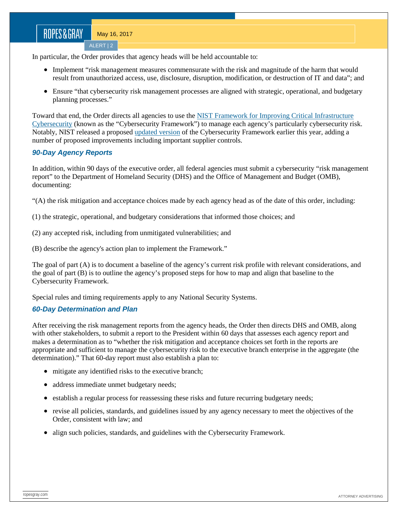ALERT | 2

In particular, the Order provides that agency heads will be held accountable to:

- Implement "risk management measures commensurate with the risk and magnitude of the harm that would result from unauthorized access, use, disclosure, disruption, modification, or destruction of IT and data"; and
- Ensure "that cybersecurity risk management processes are aligned with strategic, operational, and budgetary planning processes."

Toward that end, the Order directs all agencies to use the [NIST Framework for Improving Critical Infrastructure](https://www.nist.gov/sites/default/files/documents/cyberframework/cybersecurity-framework-021214.pdf)  [Cybersecurity](https://www.nist.gov/sites/default/files/documents/cyberframework/cybersecurity-framework-021214.pdf) (known as the "Cybersecurity Framework") to manage each agency's particularly cybersecurity risk. Notably, NIST released a proposed [updated version](https://www.nist.gov/sites/default/files/documents/draft-cybersecurity-framework-v1.1-with-markup1.pdf) of the Cybersecurity Framework earlier this year, adding a number of proposed improvements including important supplier controls.

### *90-Day Agency Reports*

In addition, within 90 days of the executive order, all federal agencies must submit a cybersecurity "risk management report" to the Department of Homeland Security (DHS) and the Office of Management and Budget (OMB), documenting:

"(A) the risk mitigation and acceptance choices made by each agency head as of the date of this order, including:

(1) the strategic, operational, and budgetary considerations that informed those choices; and

(2) any accepted risk, including from unmitigated vulnerabilities; and

(B) describe the agency's action plan to implement the Framework."

The goal of part (A) is to document a baseline of the agency's current risk profile with relevant considerations, and the goal of part (B) is to outline the agency's proposed steps for how to map and align that baseline to the Cybersecurity Framework.

Special rules and timing requirements apply to any National Security Systems.

### *60-Day Determination and Plan*

After receiving the risk management reports from the agency heads, the Order then directs DHS and OMB, along with other stakeholders, to submit a report to the President within 60 days that assesses each agency report and makes a determination as to "whether the risk mitigation and acceptance choices set forth in the reports are appropriate and sufficient to manage the cybersecurity risk to the executive branch enterprise in the aggregate (the determination)." That 60-day report must also establish a plan to:

- mitigate any identified risks to the executive branch;
- address immediate unmet budgetary needs;
- establish a regular process for reassessing these risks and future recurring budgetary needs;
- revise all policies, standards, and guidelines issued by any agency necessary to meet the objectives of the Order, consistent with law; and
- align such policies, standards, and guidelines with the Cybersecurity Framework.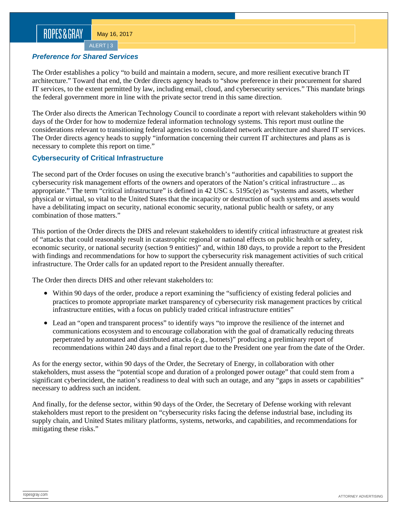### ROPES&GRAY

May 16, 2017

ALERT | 3

#### *Preference for Shared Services*

The Order establishes a policy "to build and maintain a modern, secure, and more resilient executive branch IT architecture." Toward that end, the Order directs agency heads to "show preference in their procurement for shared IT services, to the extent permitted by law, including email, cloud, and cybersecurity services." This mandate brings the federal government more in line with the private sector trend in this same direction.

The Order also directs the American Technology Council to coordinate a report with relevant stakeholders within 90 days of the Order for how to modernize federal information technology systems. This report must outline the considerations relevant to transitioning federal agencies to consolidated network architecture and shared IT services. The Order directs agency heads to supply "information concerning their current IT architectures and plans as is necessary to complete this report on time."

### **Cybersecurity of Critical Infrastructure**

The second part of the Order focuses on using the executive branch's "authorities and capabilities to support the cybersecurity risk management efforts of the owners and operators of the Nation's critical infrastructure ... as appropriate." The term "critical infrastructure" is defined in 42 USC s. 5195c(e) as "systems and assets, whether physical or virtual, so vital to the United States that the incapacity or destruction of such systems and assets would have a debilitating impact on security, national economic security, national public health or safety, or any combination of those matters."

This portion of the Order directs the DHS and relevant stakeholders to identify critical infrastructure at greatest risk of "attacks that could reasonably result in catastrophic regional or national effects on public health or safety, economic security, or national security (section 9 entities)" and, within 180 days, to provide a report to the President with findings and recommendations for how to support the cybersecurity risk management activities of such critical infrastructure. The Order calls for an updated report to the President annually thereafter.

The Order then directs DHS and other relevant stakeholders to:

- Within 90 days of the order, produce a report examining the "sufficiency of existing federal policies and practices to promote appropriate market transparency of cybersecurity risk management practices by critical infrastructure entities, with a focus on publicly traded critical infrastructure entities"
- Lead an "open and transparent process" to identify ways "to improve the resilience of the internet and communications ecosystem and to encourage collaboration with the goal of dramatically reducing threats perpetrated by automated and distributed attacks (e.g., botnets)" producing a preliminary report of recommendations within 240 days and a final report due to the President one year from the date of the Order.

As for the energy sector, within 90 days of the Order, the Secretary of Energy, in collaboration with other stakeholders, must assess the "potential scope and duration of a prolonged power outage" that could stem from a significant cyberincident, the nation's readiness to deal with such an outage, and any "gaps in assets or capabilities" necessary to address such an incident.

And finally, for the defense sector, within 90 days of the Order, the Secretary of Defense working with relevant stakeholders must report to the president on "cybersecurity risks facing the defense industrial base, including its supply chain, and United States military platforms, systems, networks, and capabilities, and recommendations for mitigating these risks."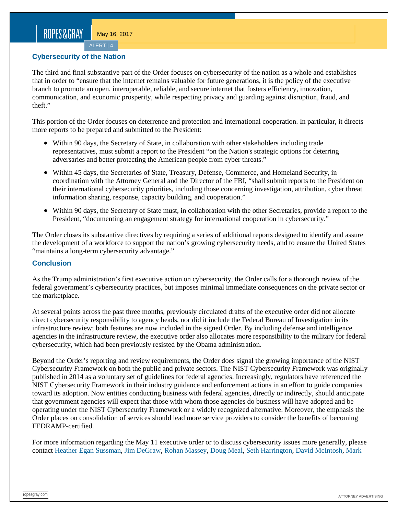ALERT | 4

### **Cybersecurity of the Nation**

The third and final substantive part of the Order focuses on cybersecurity of the nation as a whole and establishes that in order to "ensure that the internet remains valuable for future generations, it is the policy of the executive branch to promote an open, interoperable, reliable, and secure internet that fosters efficiency, innovation, communication, and economic prosperity, while respecting privacy and guarding against disruption, fraud, and theft."

This portion of the Order focuses on deterrence and protection and international cooperation. In particular, it directs more reports to be prepared and submitted to the President:

- Within 90 days, the Secretary of State, in collaboration with other stakeholders including trade representatives, must submit a report to the President "on the Nation's strategic options for deterring adversaries and better protecting the American people from cyber threats."
- Within 45 days, the Secretaries of State, Treasury, Defense, Commerce, and Homeland Security, in coordination with the Attorney General and the Director of the FBI, "shall submit reports to the President on their international cybersecurity priorities, including those concerning investigation, attribution, cyber threat information sharing, response, capacity building, and cooperation."
- Within 90 days, the Secretary of State must, in collaboration with the other Secretaries, provide a report to the President, "documenting an engagement strategy for international cooperation in cybersecurity."

The Order closes its substantive directives by requiring a series of additional reports designed to identify and assure the development of a workforce to support the nation's growing cybersecurity needs, and to ensure the United States "maintains a long-term cybersecurity advantage."

### **Conclusion**

As the Trump administration's first executive action on cybersecurity, the Order calls for a thorough review of the federal government's cybersecurity practices, but imposes minimal immediate consequences on the private sector or the marketplace.

At several points across the past three months, previously circulated drafts of the executive order did not allocate direct cybersecurity responsibility to agency heads, nor did it include the Federal Bureau of Investigation in its infrastructure review; both features are now included in the signed Order. By including defense and intelligence agencies in the infrastructure review, the executive order also allocates more responsibility to the military for federal cybersecurity, which had been previously resisted by the Obama administration.

Beyond the Order's reporting and review requirements, the Order does signal the growing importance of the NIST Cybersecurity Framework on both the public and private sectors. The NIST Cybersecurity Framework was originally published in 2014 as a voluntary set of guidelines for federal agencies. Increasingly, regulators have referenced the NIST Cybersecurity Framework in their industry guidance and enforcement actions in an effort to guide companies toward its adoption. Now entities conducting business with federal agencies, directly or indirectly, should anticipate that government agencies will expect that those with whom those agencies do business will have adopted and be operating under the NIST Cybersecurity Framework or a widely recognized alternative. Moreover, the emphasis the Order places on consolidation of services should lead more service providers to consider the benefits of becoming FEDRAMP-certified.

For more information regarding the May 11 executive order or to discuss cybersecurity issues more generally, please contact [Heather Egan Sussman,](https://www.ropesgray.com/biographies/s/heather-egan-sussman.aspx) [Jim DeGraw,](https://www.ropesgray.com/biographies/d/james-s-degraw.aspx) [Rohan Massey,](https://www.ropesgray.com/biographies/m/rohan-massey.aspx) [Doug Meal,](https://www.ropesgray.com/biographies/m/douglas-h-meal.aspx) [Seth Harrington,](https://www.ropesgray.com/biographies/h/seth-c-harrington.aspx) [David McIntosh,](https://www.ropesgray.com/biographies/m/McIntosh-David.aspx) [Mark](https://www.ropesgray.com/biographies/s/mark-p-szpak.aspx)